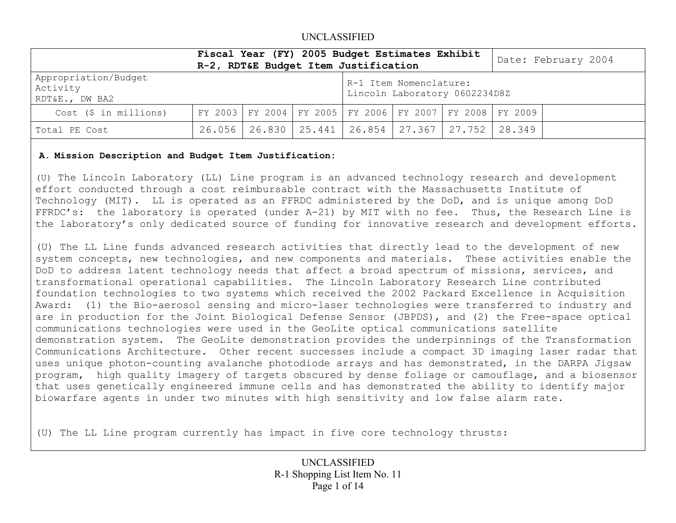|                                                    | Fiscal Year (FY) 2005 Budget Estimates Exhibit<br>R-2, RDT&E Budget Item Justification |  |                                                         |                                                                     |  |  | Date: February 2004 |  |
|----------------------------------------------------|----------------------------------------------------------------------------------------|--|---------------------------------------------------------|---------------------------------------------------------------------|--|--|---------------------|--|
| Appropriation/Budget<br>Activity<br>RDT&E., DW BA2 |                                                                                        |  | R-1 Item Nomenclature:<br>Lincoln Laboratory 0602234D8Z |                                                                     |  |  |                     |  |
| Cost (\$ in millions)                              |                                                                                        |  |                                                         | FY 2003   FY 2004   FY 2005   FY 2006   FY 2007   FY 2008   FY 2009 |  |  |                     |  |
| Total PE Cost                                      |                                                                                        |  |                                                         | 26.056   26.830   25.441   26.854   27.367   27.752   28.349        |  |  |                     |  |

### **A. Mission Description and Budget Item Justification:**

(U) The Lincoln Laboratory (LL) Line program is an advanced technology research and development effort conducted through a cost reimbursable contract with the Massachusetts Institute of Technology (MIT). LL is operated as an FFRDC administered by the DoD, and is unique among DoD FFRDC's: the laboratory is operated (under A-21) by MIT with no fee. Thus, the Research Line is the laboratory's only dedicated source of funding for innovative research and development efforts.

(U) The LL Line funds advanced research activities that directly lead to the development of new system concepts, new technologies, and new components and materials. These activities enable the DoD to address latent technology needs that affect a broad spectrum of missions, services, and transformational operational capabilities. The Lincoln Laboratory Research Line contributed foundation technologies to two systems which received the 2002 Packard Excellence in Acquisition Award: (1) the Bio-aerosol sensing and micro-laser technologies were transferred to industry and are in production for the Joint Biological Defense Sensor (JBPDS), and (2) the Free-space optical communications technologies were used in the GeoLite optical communications satellite demonstration system. The GeoLite demonstration provides the underpinnings of the Transformation Communications Architecture. Other recent successes include a compact 3D imaging laser radar that uses unique photon-counting avalanche photodiode arrays and has demonstrated, in the DARPA Jigsaw program, high quality imagery of targets obscured by dense foliage or camouflage, and a biosensor that uses genetically engineered immune cells and has demonstrated the ability to identify major biowarfare agents in under two minutes with high sensitivity and low false alarm rate.

(U) The LL Line program currently has impact in five core technology thrusts: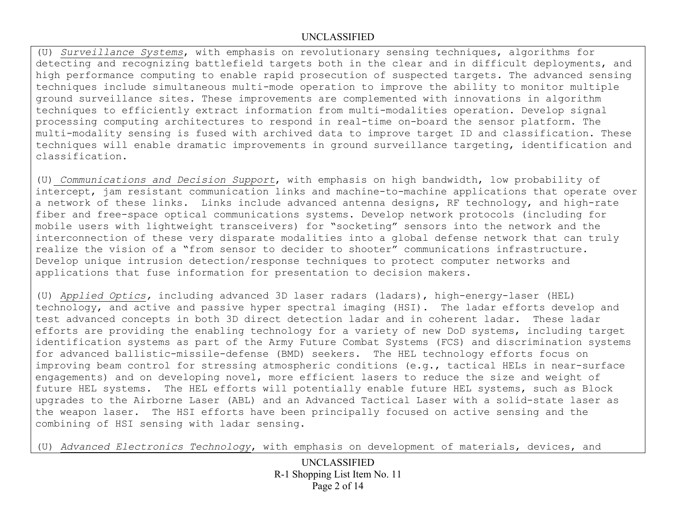(U) *Surveillance Systems*, with emphasis on revolutionary sensing techniques, algorithms for detecting and recognizing battlefield targets both in the clear and in difficult deployments, and high performance computing to enable rapid prosecution of suspected targets. The advanced sensing techniques include simultaneous multi-mode operation to improve the ability to monitor multiple ground surveillance sites. These improvements are complemented with innovations in algorithm techniques to efficiently extract information from multi-modalities operation. Develop signal processing computing architectures to respond in real-time on-board the sensor platform. The multi-modality sensing is fused with archived data to improve target ID and classification. These techniques will enable dramatic improvements in ground surveillance targeting, identification and classification.

(U) *Communications and Decision Support*, with emphasis on high bandwidth, low probability of intercept, jam resistant communication links and machine-to-machine applications that operate over a network of these links. Links include advanced antenna designs, RF technology, and high-rate fiber and free-space optical communications systems. Develop network protocols (including for mobile users with lightweight transceivers) for "socketing" sensors into the network and the interconnection of these very disparate modalities into a global defense network that can truly realize the vision of a "from sensor to decider to shooter" communications infrastructure. Develop unique intrusion detection/response techniques to protect computer networks and applications that fuse information for presentation to decision makers.

(U) *Applied Optics,* including advanced 3D laser radars (ladars), high-energy-laser (HEL) technology, and active and passive hyper spectral imaging (HSI). The ladar efforts develop and test advanced concepts in both 3D direct detection ladar and in coherent ladar. These ladar efforts are providing the enabling technology for a variety of new DoD systems, including target identification systems as part of the Army Future Combat Systems (FCS) and discrimination systems for advanced ballistic-missile-defense (BMD) seekers. The HEL technology efforts focus on improving beam control for stressing atmospheric conditions (e.g., tactical HELs in near-surface engagements) and on developing novel, more efficient lasers to reduce the size and weight of future HEL systems. The HEL efforts will potentially enable future HEL systems, such as Block upgrades to the Airborne Laser (ABL) and an Advanced Tactical Laser with a solid-state laser as the weapon laser. The HSI efforts have been principally focused on active sensing and the combining of HSI sensing with ladar sensing.

(U) *Advanced Electronics Technology*, with emphasis on development of materials, devices, and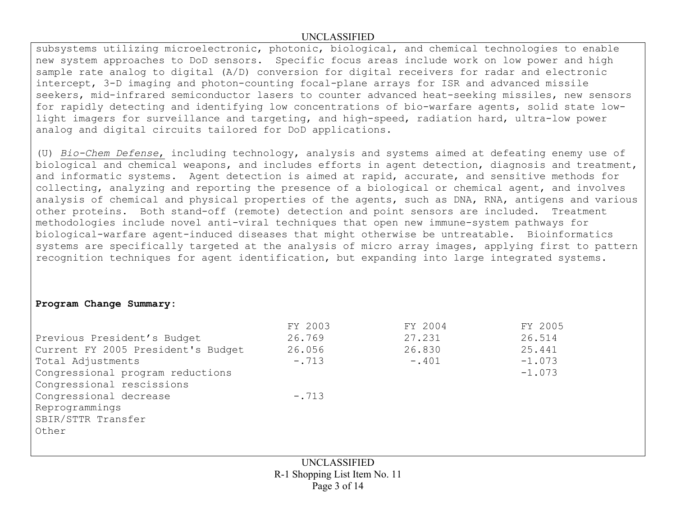subsystems utilizing microelectronic, photonic, biological, and chemical technologies to enable new system approaches to DoD sensors. Specific focus areas include work on low power and high sample rate analog to digital (A/D) conversion for digital receivers for radar and electronic intercept, 3-D imaging and photon-counting focal-plane arrays for ISR and advanced missile seekers, mid-infrared semiconductor lasers to counter advanced heat-seeking missiles, new sensors for rapidly detecting and identifying low concentrations of bio-warfare agents, solid state lowlight imagers for surveillance and targeting, and high-speed, radiation hard, ultra-low power analog and digital circuits tailored for DoD applications.

(U) *Bio-Chem Defense*, including technology, analysis and systems aimed at defeating enemy use of biological and chemical weapons, and includes efforts in agent detection, diagnosis and treatment, and informatic systems. Agent detection is aimed at rapid, accurate, and sensitive methods for collecting, analyzing and reporting the presence of a biological or chemical agent, and involves analysis of chemical and physical properties of the agents, such as DNA, RNA, antigens and various other proteins. Both stand-off (remote) detection and point sensors are included. Treatment methodologies include novel anti-viral techniques that open new immune-system pathways for biological-warfare agent-induced diseases that might otherwise be untreatable. Bioinformatics systems are specifically targeted at the analysis of micro array images, applying first to pattern recognition techniques for agent identification, but expanding into large integrated systems.

### **Program Change Summary:**

|                                    | FY 2003 | FY 2004 | FY 2005  |
|------------------------------------|---------|---------|----------|
| Previous President's Budget        | 26.769  | 27.231  | 26.514   |
| Current FY 2005 President's Budget | 26.056  | 26.830  | 25.441   |
| Total Adjustments                  | $-.713$ | $-.401$ | $-1.073$ |
| Congressional program reductions   |         |         | $-1.073$ |
| Congressional rescissions          |         |         |          |
| Congressional decrease             | $-.713$ |         |          |
| Reprogrammings                     |         |         |          |
| SBIR/STTR Transfer                 |         |         |          |
| Other                              |         |         |          |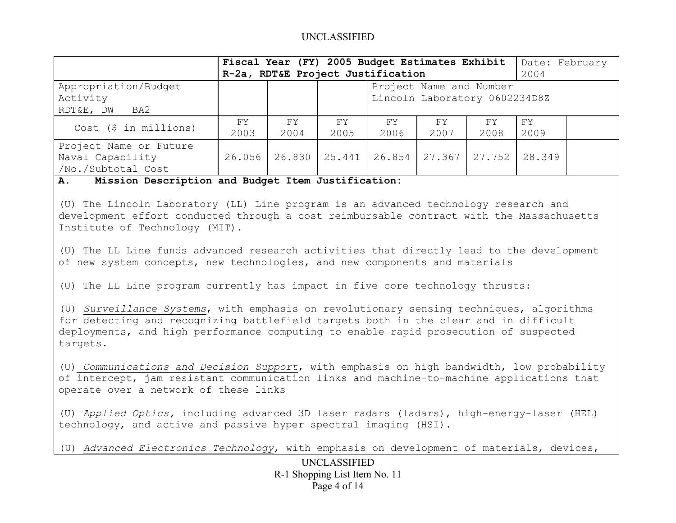|                                                                  |             | Fiscal Year (FY) 2005 Budget Estimates Exhibit<br>R-2a, RDT&E Project Justification |            |                          |                                                          |            | Date: February<br>2004 |  |
|------------------------------------------------------------------|-------------|-------------------------------------------------------------------------------------|------------|--------------------------|----------------------------------------------------------|------------|------------------------|--|
| Appropriation/Budget<br>Activity<br>RDT&E, DW<br>BA2             |             |                                                                                     |            |                          | Project Name and Number<br>Lincoln Laboratory 0602234D8Z |            |                        |  |
| Cost (\$ in millions)                                            | FY.<br>2003 | FY .<br>2004                                                                        | FY<br>2005 | FY.<br>2006              | FY<br>2007                                               | FY<br>2008 | FΥ<br>2009             |  |
| Project Name or Future<br>Naval Capability<br>/No./Subtotal Cost | 26.056      |                                                                                     |            | 26.830   25.441   26.854 | $27.367$ 27.752                                          |            | 28.349                 |  |

#### **A. Mission Description and Budget Item Justification:**

(U) The Lincoln Laboratory (LL) Line program is an advanced technology research and development effort conducted through a cost reimbursable contract with the Massachusetts Institute of Technology (MIT).

(U) The LL Line funds advanced research activities that directly lead to the development of new system concepts, new technologies, and new components and materials

(U) The LL Line program currently has impact in five core technology thrusts:

(U) *Surveillance Systems*, with emphasis on revolutionary sensing techniques, algorithms for detecting and recognizing battlefield targets both in the clear and in difficult deployments, and high performance computing to enable rapid prosecution of suspected targets.

(U) *Communications and Decision Support*, with emphasis on high bandwidth, low probability of intercept, jam resistant communication links and machine-to-machine applications that operate over a network of these links

(U) *Applied Optics,* including advanced 3D laser radars (ladars), high-energy-laser (HEL) technology, and active and passive hyper spectral imaging (HSI).

(U) *Advanced Electronics Technology*, with emphasis on development of materials, devices,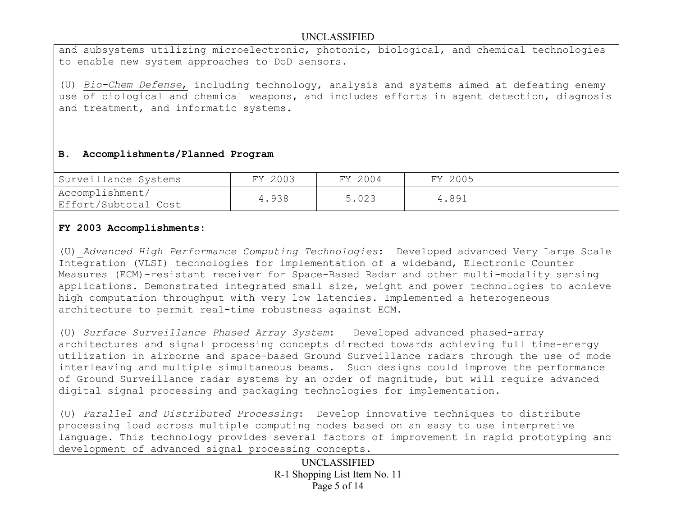and subsystems utilizing microelectronic, photonic, biological, and chemical technologies to enable new system approaches to DoD sensors.

(U) *Bio-Chem Defense*, including technology, analysis and systems aimed at defeating enemy use of biological and chemical weapons, and includes efforts in agent detection, diagnosis and treatment, and informatic systems.

## **B. Accomplishments/Planned Program**

| Surveillance Systems                    | FY 2003 | FY 2004 | FY 2005 |  |
|-----------------------------------------|---------|---------|---------|--|
| Accomplishment/<br>Effort/Subtotal Cost | 4.938   | 5.023   | 4.891   |  |

## **FY 2003 Accomplishments:**

(U) *Advanced High Performance Computing Technologies*: Developed advanced Very Large Scale Integration (VLSI) technologies for implementation of a wideband, Electronic Counter Measures (ECM)-resistant receiver for Space-Based Radar and other multi-modality sensing applications. Demonstrated integrated small size, weight and power technologies to achieve high computation throughput with very low latencies. Implemented a heterogeneous architecture to permit real-time robustness against ECM.

(U) *Surface Surveillance Phased Array System*: Developed advanced phased-array architectures and signal processing concepts directed towards achieving full time-energy utilization in airborne and space-based Ground Surveillance radars through the use of mode interleaving and multiple simultaneous beams. Such designs could improve the performance of Ground Surveillance radar systems by an order of magnitude, but will require advanced digital signal processing and packaging technologies for implementation.

(U) *Parallel and Distributed Processing*: Develop innovative techniques to distribute processing load across multiple computing nodes based on an easy to use interpretive language. This technology provides several factors of improvement in rapid prototyping and development of advanced signal processing concepts.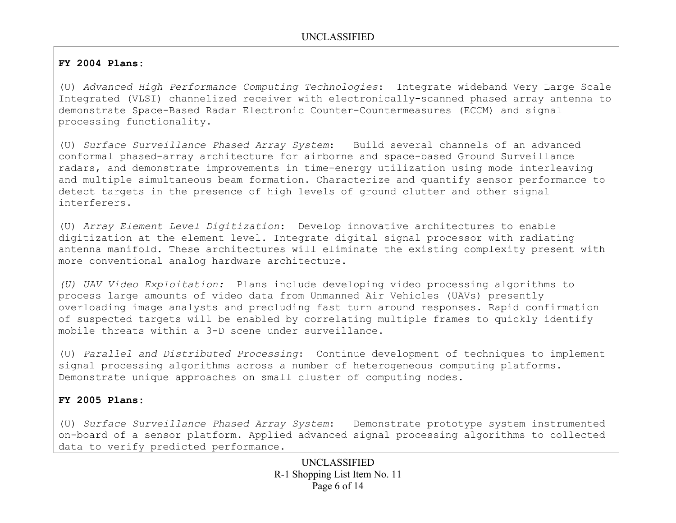## **FY 2004 Plans:**

(U) *Advanced High Performance Computing Technologies*: Integrate wideband Very Large Scale Integrated (VLSI) channelized receiver with electronically-scanned phased array antenna to demonstrate Space-Based Radar Electronic Counter-Countermeasures (ECCM) and signal processing functionality.

(U) *Surface Surveillance Phased Array System*: Build several channels of an advanced conformal phased-array architecture for airborne and space-based Ground Surveillance radars, and demonstrate improvements in time-energy utilization using mode interleaving and multiple simultaneous beam formation. Characterize and quantify sensor performance to detect targets in the presence of high levels of ground clutter and other signal interferers.

(U) *Array Element Level Digitization*: Develop innovative architectures to enable digitization at the element level. Integrate digital signal processor with radiating antenna manifold. These architectures will eliminate the existing complexity present with more conventional analog hardware architecture.

*(U) UAV Video Exploitation:* Plans include developing video processing algorithms to process large amounts of video data from Unmanned Air Vehicles (UAVs) presently overloading image analysts and precluding fast turn around responses. Rapid confirmation of suspected targets will be enabled by correlating multiple frames to quickly identify mobile threats within a 3-D scene under surveillance.

(U) *Parallel and Distributed Processing*: Continue development of techniques to implement signal processing algorithms across a number of heterogeneous computing platforms. Demonstrate unique approaches on small cluster of computing nodes.

## **FY 2005 Plans:**

(U) *Surface Surveillance Phased Array System*: Demonstrate prototype system instrumented on-board of a sensor platform. Applied advanced signal processing algorithms to collected data to verify predicted performance.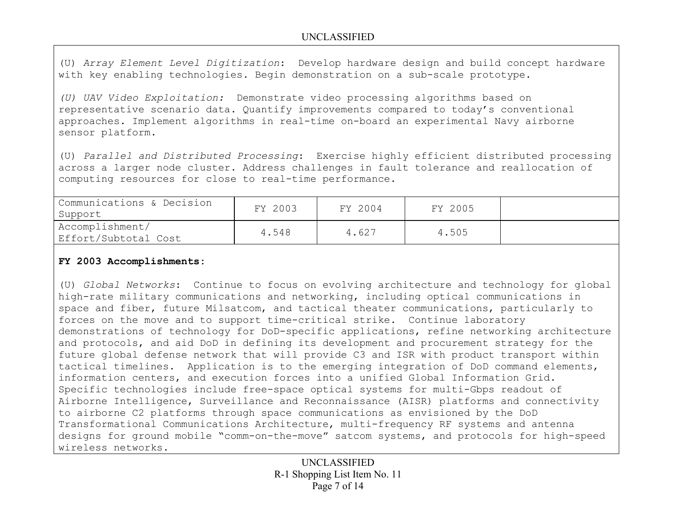(U) *Array Element Level Digitization*: Develop hardware design and build concept hardware with key enabling technologies. Begin demonstration on a sub-scale prototype.

*(U) UAV Video Exploitation:* Demonstrate video processing algorithms based on representative scenario data. Quantify improvements compared to today's conventional approaches. Implement algorithms in real-time on-board an experimental Navy airborne sensor platform.

(U) *Parallel and Distributed Processing*: Exercise highly efficient distributed processing across a larger node cluster. Address challenges in fault tolerance and reallocation of computing resources for close to real-time performance.

| Communications & Decision<br>Support    | FY 2003 | FY 2004 | FY 2005 |  |
|-----------------------------------------|---------|---------|---------|--|
| Accomplishment/<br>Effort/Subtotal Cost | 4.548   | 4.627   | 4.505   |  |

## **FY 2003 Accomplishments:**

(U) *Global Networks*: Continue to focus on evolving architecture and technology for global high-rate military communications and networking, including optical communications in space and fiber, future Milsatcom, and tactical theater communications, particularly to forces on the move and to support time-critical strike. Continue laboratory demonstrations of technology for DoD-specific applications, refine networking architecture and protocols, and aid DoD in defining its development and procurement strategy for the future global defense network that will provide C3 and ISR with product transport within tactical timelines. Application is to the emerging integration of DoD command elements, information centers, and execution forces into a unified Global Information Grid. Specific technologies include free-space optical systems for multi-Gbps readout of Airborne Intelligence, Surveillance and Reconnaissance (AISR) platforms and connectivity to airborne C2 platforms through space communications as envisioned by the DoD Transformational Communications Architecture, multi-frequency RF systems and antenna designs for ground mobile "comm-on-the-move" satcom systems, and protocols for high-speed wireless networks.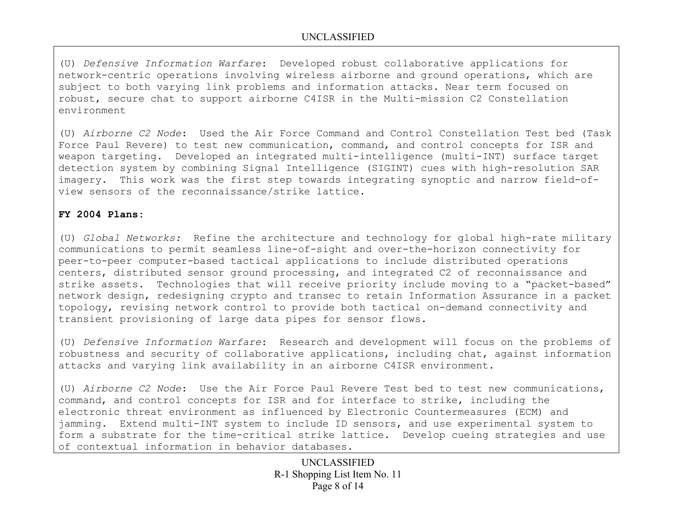(U) *Defensive Information Warfare*: Developed robust collaborative applications for network-centric operations involving wireless airborne and ground operations, which are subject to both varying link problems and information attacks. Near term focused on robust, secure chat to support airborne C4ISR in the Multi-mission C2 Constellation environment

(U) *Airborne C2 Node*: Used the Air Force Command and Control Constellation Test bed (Task Force Paul Revere) to test new communication, command, and control concepts for ISR and weapon targeting. Developed an integrated multi-intelligence (multi-INT) surface target detection system by combining Signal Intelligence (SIGINT) cues with high-resolution SAR imagery. This work was the first step towards integrating synoptic and narrow field-ofview sensors of the reconnaissance/strike lattice.

## **FY 2004 Plans:**

(U) *Global Networks:* Refine the architecture and technology for global high-rate military communications to permit seamless line-of-sight and over-the-horizon connectivity for peer-to-peer computer-based tactical applications to include distributed operations centers, distributed sensor ground processing, and integrated C2 of reconnaissance and strike assets. Technologies that will receive priority include moving to a "packet-based" network design, redesigning crypto and transec to retain Information Assurance in a packet topology, revising network control to provide both tactical on-demand connectivity and transient provisioning of large data pipes for sensor flows.

(U) *Defensive Information Warfare*: Research and development will focus on the problems of robustness and security of collaborative applications, including chat, against information attacks and varying link availability in an airborne C4ISR environment.

(U) *Airborne C2 Node*: Use the Air Force Paul Revere Test bed to test new communications, command, and control concepts for ISR and for interface to strike, including the electronic threat environment as influenced by Electronic Countermeasures (ECM) and jamming. Extend multi-INT system to include ID sensors, and use experimental system to form a substrate for the time-critical strike lattice. Develop cueing strategies and use of contextual information in behavior databases.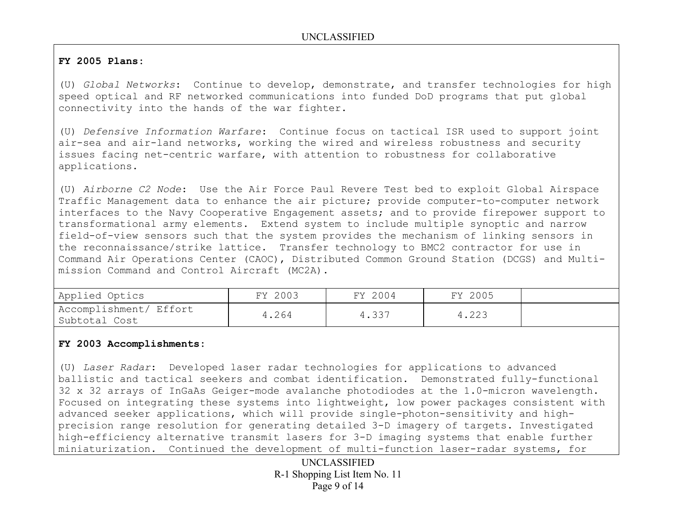## **FY 2005 Plans:**

(U) *Global Networks*: Continue to develop, demonstrate, and transfer technologies for high speed optical and RF networked communications into funded DoD programs that put global connectivity into the hands of the war fighter.

(U) *Defensive Information Warfare*: Continue focus on tactical ISR used to support joint air-sea and air-land networks, working the wired and wireless robustness and security issues facing net-centric warfare, with attention to robustness for collaborative applications.

(U) *Airborne C2 Node*: Use the Air Force Paul Revere Test bed to exploit Global Airspace Traffic Management data to enhance the air picture; provide computer-to-computer network interfaces to the Navy Cooperative Engagement assets; and to provide firepower support to transformational army elements. Extend system to include multiple synoptic and narrow field-of-view sensors such that the system provides the mechanism of linking sensors in the reconnaissance/strike lattice. Transfer technology to BMC2 contractor for use in Command Air Operations Center (CAOC), Distributed Common Ground Station (DCGS) and Multimission Command and Control Aircraft (MC2A).

| Applied Optics                          | FY 2003 | FY 2004 | FY 2005 |  |
|-----------------------------------------|---------|---------|---------|--|
| Accomplishment/ Effort<br>Subtotal Cost | 4.264   | 4.337   | 4.223   |  |

### **FY 2003 Accomplishments:**

(U) *Laser Radar*: Developed laser radar technologies for applications to advanced ballistic and tactical seekers and combat identification. Demonstrated fully-functional 32 x 32 arrays of InGaAs Geiger-mode avalanche photodiodes at the 1.0-micron wavelength. Focused on integrating these systems into lightweight, low power packages consistent with advanced seeker applications, which will provide single-photon-sensitivity and highprecision range resolution for generating detailed 3-D imagery of targets. Investigated high-efficiency alternative transmit lasers for 3-D imaging systems that enable further miniaturization. Continued the development of multi-function laser-radar systems, for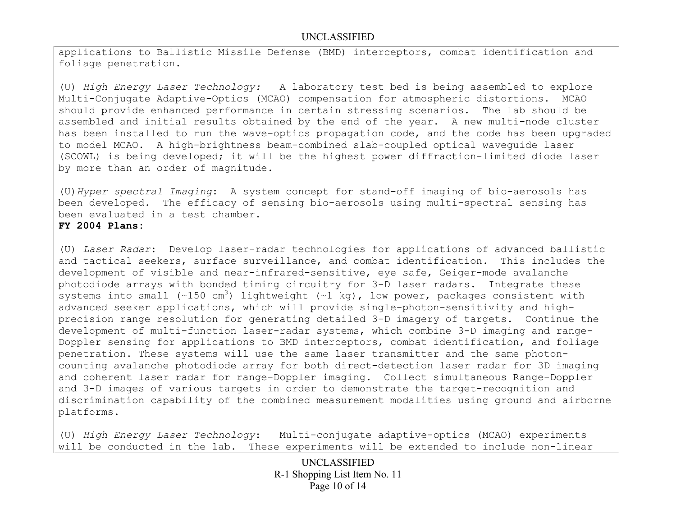applications to Ballistic Missile Defense (BMD) interceptors, combat identification and foliage penetration.

(U) *High Energy Laser Technology:* A laboratory test bed is being assembled to explore Multi-Conjugate Adaptive-Optics (MCAO) compensation for atmospheric distortions. MCAO should provide enhanced performance in certain stressing scenarios. The lab should be assembled and initial results obtained by the end of the year. A new multi-node cluster has been installed to run the wave-optics propagation code, and the code has been upgraded to model MCAO. A high-brightness beam-combined slab-coupled optical waveguide laser (SCOWL) is being developed; it will be the highest power diffraction-limited diode laser by more than an order of magnitude.

(U)*Hyper spectral Imaging*: A system concept for stand-off imaging of bio-aerosols has been developed. The efficacy of sensing bio-aerosols using multi-spectral sensing has been evaluated in a test chamber.

### **FY 2004 Plans:**

(U) *Laser Radar*: Develop laser-radar technologies for applications of advanced ballistic and tactical seekers, surface surveillance, and combat identification. This includes the development of visible and near-infrared-sensitive, eye safe, Geiger-mode avalanche photodiode arrays with bonded timing circuitry for 3-D laser radars. Integrate these systems into small (~150 cm<sup>3</sup>) lightweight (~1 kg), low power, packages consistent with advanced seeker applications, which will provide single-photon-sensitivity and highprecision range resolution for generating detailed 3-D imagery of targets. Continue the development of multi-function laser-radar systems, which combine 3-D imaging and range-Doppler sensing for applications to BMD interceptors, combat identification, and foliage penetration. These systems will use the same laser transmitter and the same photoncounting avalanche photodiode array for both direct-detection laser radar for 3D imaging and coherent laser radar for range-Doppler imaging. Collect simultaneous Range-Doppler and 3-D images of various targets in order to demonstrate the target-recognition and discrimination capability of the combined measurement modalities using ground and airborne platforms.

(U) *High Energy Laser Technology*: Multi-conjugate adaptive-optics (MCAO) experiments will be conducted in the lab. These experiments will be extended to include non-linear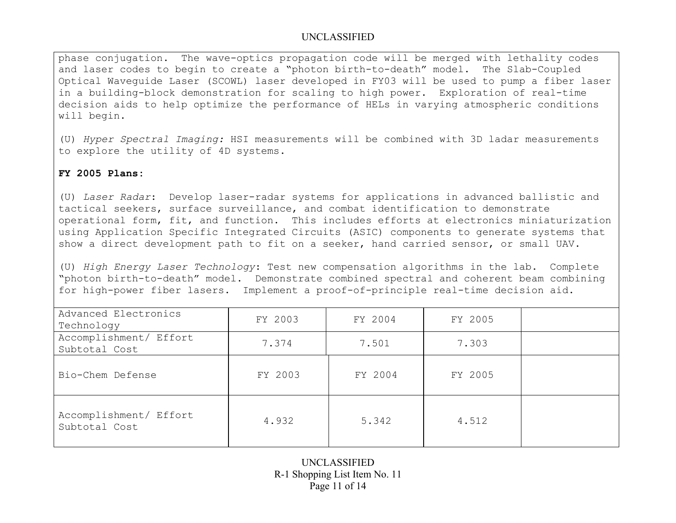phase conjugation. The wave-optics propagation code will be merged with lethality codes and laser codes to begin to create a "photon birth-to-death" model. The Slab-Coupled Optical Waveguide Laser (SCOWL) laser developed in FY03 will be used to pump a fiber laser in a building-block demonstration for scaling to high power. Exploration of real-time decision aids to help optimize the performance of HELs in varying atmospheric conditions will begin.

(U) *Hyper Spectral Imaging:* HSI measurements will be combined with 3D ladar measurements to explore the utility of 4D systems.

### **FY 2005 Plans:**

(U) *Laser Radar*: Develop laser-radar systems for applications in advanced ballistic and tactical seekers, surface surveillance, and combat identification to demonstrate operational form, fit, and function. This includes efforts at electronics miniaturization using Application Specific Integrated Circuits (ASIC) components to generate systems that show a direct development path to fit on a seeker, hand carried sensor, or small UAV.

(U) *High Energy Laser Technology*: Test new compensation algorithms in the lab. Complete "photon birth-to-death" model. Demonstrate combined spectral and coherent beam combining for high-power fiber lasers. Implement a proof-of-principle real-time decision aid.

| Advanced Electronics<br>Technology      | FY 2003 | FY 2004 | FY 2005 |  |
|-----------------------------------------|---------|---------|---------|--|
| Accomplishment/ Effort<br>Subtotal Cost | 7.374   | 7.501   | 7.303   |  |
| Bio-Chem Defense                        | FY 2003 | FY 2004 | FY 2005 |  |
| Accomplishment/ Effort<br>Subtotal Cost | 4.932   | 5.342   | 4.512   |  |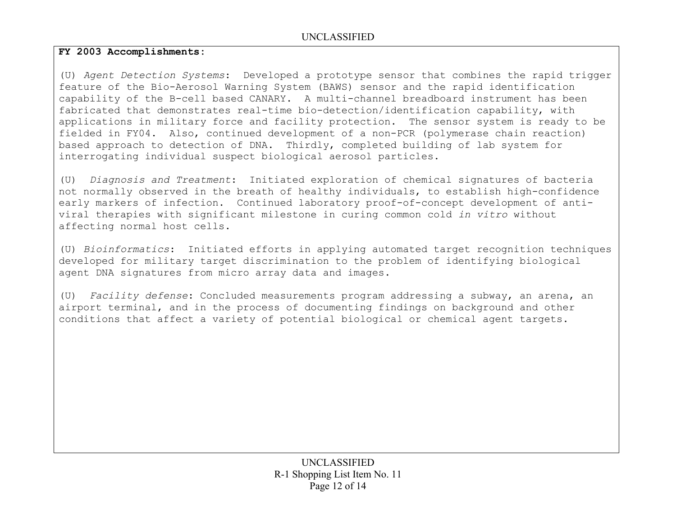## **FY 2003 Accomplishments:**

(U) *Agent Detection Systems*: Developed a prototype sensor that combines the rapid trigger feature of the Bio-Aerosol Warning System (BAWS) sensor and the rapid identification capability of the B-cell based CANARY. A multi-channel breadboard instrument has been fabricated that demonstrates real-time bio-detection/identification capability, with applications in military force and facility protection. The sensor system is ready to be fielded in FY04. Also, continued development of a non-PCR (polymerase chain reaction) based approach to detection of DNA. Thirdly, completed building of lab system for interrogating individual suspect biological aerosol particles.

(U) *Diagnosis and Treatment*: Initiated exploration of chemical signatures of bacteria not normally observed in the breath of healthy individuals, to establish high-confidence early markers of infection. Continued laboratory proof-of-concept development of antiviral therapies with significant milestone in curing common cold *in vitro* without affecting normal host cells.

(U) *Bioinformatics*: Initiated efforts in applying automated target recognition techniques developed for military target discrimination to the problem of identifying biological agent DNA signatures from micro array data and images.

(U) *Facility defense*: Concluded measurements program addressing a subway, an arena, an airport terminal, and in the process of documenting findings on background and other conditions that affect a variety of potential biological or chemical agent targets.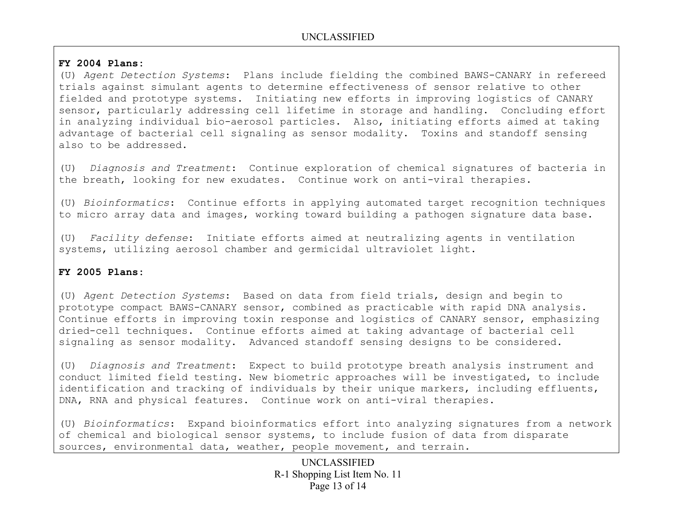### **FY 2004 Plans:**

(U) *Agent Detection Systems*: Plans include fielding the combined BAWS-CANARY in refereed trials against simulant agents to determine effectiveness of sensor relative to other fielded and prototype systems. Initiating new efforts in improving logistics of CANARY sensor, particularly addressing cell lifetime in storage and handling. Concluding effort in analyzing individual bio-aerosol particles. Also, initiating efforts aimed at taking advantage of bacterial cell signaling as sensor modality. Toxins and standoff sensing also to be addressed.

(U) *Diagnosis and Treatment*: Continue exploration of chemical signatures of bacteria in the breath, looking for new exudates. Continue work on anti-viral therapies.

(U) *Bioinformatics*: Continue efforts in applying automated target recognition techniques to micro array data and images, working toward building a pathogen signature data base.

(U) *Facility defense*: Initiate efforts aimed at neutralizing agents in ventilation systems, utilizing aerosol chamber and germicidal ultraviolet light.

### **FY 2005 Plans:**

(U) *Agent Detection Systems*: Based on data from field trials, design and begin to prototype compact BAWS-CANARY sensor, combined as practicable with rapid DNA analysis. Continue efforts in improving toxin response and logistics of CANARY sensor, emphasizing dried-cell techniques. Continue efforts aimed at taking advantage of bacterial cell signaling as sensor modality. Advanced standoff sensing designs to be considered.

(U) *Diagnosis and Treatment*: Expect to build prototype breath analysis instrument and conduct limited field testing. New biometric approaches will be investigated, to include identification and tracking of individuals by their unique markers, including effluents, DNA, RNA and physical features. Continue work on anti-viral therapies.

(U) *Bioinformatics*: Expand bioinformatics effort into analyzing signatures from a network of chemical and biological sensor systems, to include fusion of data from disparate sources, environmental data, weather, people movement, and terrain.